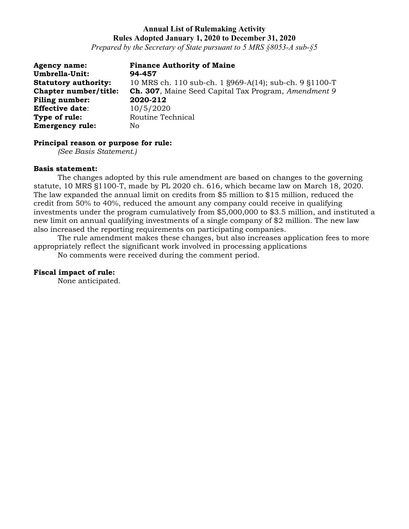# **Annual List of Rulemaking Activity Rules Adopted January 1, 2020 to December 31, 2020**

*Prepared by the Secretary of State pursuant to 5 MRS §8053-A sub-§5*

**Agency name: Finance Authority of Maine Umbrella-Unit: 94-457 Statutory authority:** 10 MRS ch. 110 sub-ch. 1 §969-A(14); sub-ch. 9 §1100-T **Chapter number/title: Ch. 307**, Maine Seed Capital Tax Program, *Amendment 9* **Filing number: 2020-212 Effective date**: 10/5/2020 **Type of rule:** Routine Technical **Emergency rule:** No

# **Principal reason or purpose for rule:**

*(See Basis Statement.)*

### **Basis statement:**

The changes adopted by this rule amendment are based on changes to the governing statute, 10 MRS §1100-T, made by PL 2020 ch. 616, which became law on March 18, 2020. The law expanded the annual limit on credits from \$5 million to \$15 million, reduced the credit from 50% to 40%, reduced the amount any company could receive in qualifying investments under the program cumulatively from \$5,000,000 to \$3.5 million, and instituted a new limit on annual qualifying investments of a single company of \$2 million. The new law also increased the reporting requirements on participating companies.

The rule amendment makes these changes, but also increases application fees to more appropriately reflect the significant work involved in processing applications

No comments were received during the comment period.

## **Fiscal impact of rule:**

None anticipated.